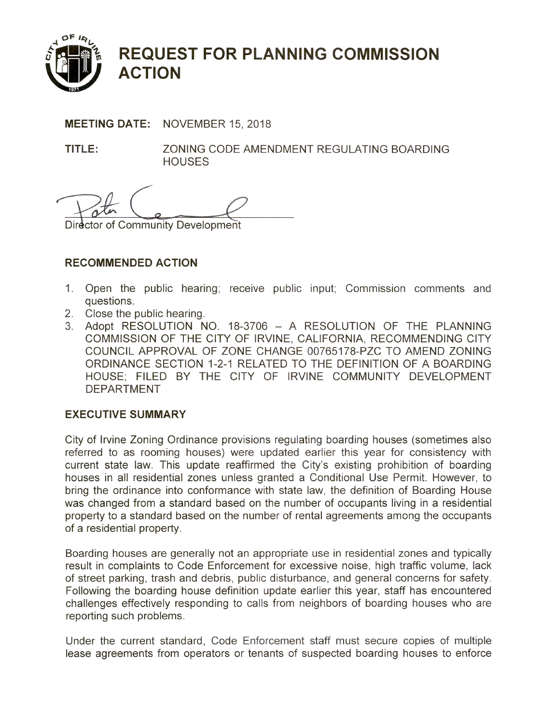

# **REQUEST FOR PLANNING COMMISSION ACTION**

**MEETING DATE: NOVEMBER 15, 2018** 

TITLE: ZONING CODE AMENDMENT REGULATING BOARDING **HOUSES** 

Director of Community Development

# **RECOMMENDED ACTION**

- Open the public hearing; receive public input; Commission comments and  $1.$ questions.
- 2. Close the public hearing.
- 3. Adopt RESOLUTION NO. 18-3706 A RESOLUTION OF THE PLANNING COMMISSION OF THE CITY OF IRVINE, CALIFORNIA, RECOMMENDING CITY COUNCIL APPROVAL OF ZONE CHANGE 00765178-PZC TO AMEND ZONING ORDINANCE SECTION 1-2-1 RELATED TO THE DEFINITION OF A BOARDING HOUSE; FILED BY THE CITY OF IRVINE COMMUNITY DEVELOPMENT **DEPARTMENT**

## **EXECUTIVE SUMMARY**

City of Irvine Zoning Ordinance provisions regulating boarding houses (sometimes also referred to as rooming houses) were updated earlier this year for consistency with current state law. This update reaffirmed the City's existing prohibition of boarding houses in all residential zones unless granted a Conditional Use Permit. However, to bring the ordinance into conformance with state law, the definition of Boarding House was changed from a standard based on the number of occupants living in a residential property to a standard based on the number of rental agreements among the occupants of a residential property.

Boarding houses are generally not an appropriate use in residential zones and typically result in complaints to Code Enforcement for excessive noise, high traffic volume, lack of street parking, trash and debris, public disturbance, and general concerns for safety. Following the boarding house definition update earlier this year, staff has encountered challenges effectively responding to calls from neighbors of boarding houses who are reporting such problems.

Under the current standard, Code Enforcement staff must secure copies of multiple lease agreements from operators or tenants of suspected boarding houses to enforce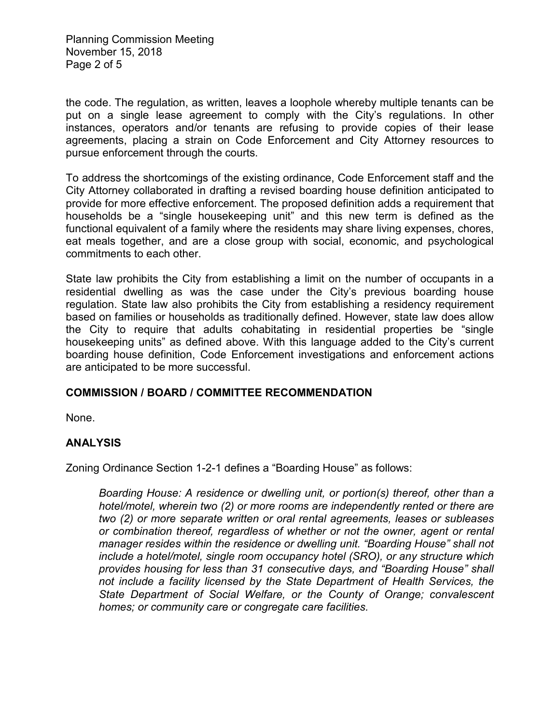Planning Commission Meeting November 15, 2018 Page 2 of 5

the code. The regulation, as written, leaves a loophole whereby multiple tenants can be put on a single lease agreement to comply with the City's regulations. In other instances, operators and/or tenants are refusing to provide copies of their lease agreements, placing a strain on Code Enforcement and City Attorney resources to pursue enforcement through the courts.

To address the shortcomings of the existing ordinance, Code Enforcement staff and the City Attorney collaborated in drafting a revised boarding house definition anticipated to provide for more effective enforcement. The proposed definition adds a requirement that households be a "single housekeeping unit" and this new term is defined as the functional equivalent of a family where the residents may share living expenses, chores, eat meals together, and are a close group with social, economic, and psychological commitments to each other.

State law prohibits the City from establishing a limit on the number of occupants in a residential dwelling as was the case under the City's previous boarding house regulation. State law also prohibits the City from establishing a residency requirement based on families or households as traditionally defined. However, state law does allow the City to require that adults cohabitating in residential properties be "single housekeeping units" as defined above. With this language added to the City's current boarding house definition, Code Enforcement investigations and enforcement actions are anticipated to be more successful.

#### **COMMISSION / BOARD / COMMITTEE RECOMMENDATION**

None.

#### **ANALYSIS**

Zoning Ordinance Section 1-2-1 defines a "Boarding House" as follows:

*Boarding House: A residence or dwelling unit, or portion(s) thereof, other than a hotel/motel, wherein two (2) or more rooms are independently rented or there are two (2) or more separate written or oral rental agreements, leases or subleases or combination thereof, regardless of whether or not the owner, agent or rental manager resides within the residence or dwelling unit. "Boarding House" shall not include a hotel/motel, single room occupancy hotel (SRO), or any structure which provides housing for less than 31 consecutive days, and "Boarding House" shall not include a facility licensed by the State Department of Health Services, the State Department of Social Welfare, or the County of Orange; convalescent homes; or community care or congregate care facilities.*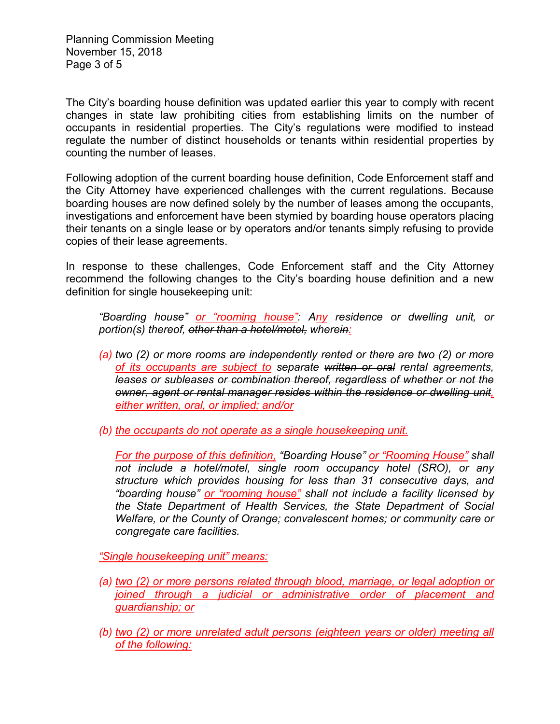Planning Commission Meeting November 15, 2018 Page 3 of 5

The City's boarding house definition was updated earlier this year to comply with recent changes in state law prohibiting cities from establishing limits on the number of occupants in residential properties. The City's regulations were modified to instead regulate the number of distinct households or tenants within residential properties by counting the number of leases.

Following adoption of the current boarding house definition, Code Enforcement staff and the City Attorney have experienced challenges with the current regulations. Because boarding houses are now defined solely by the number of leases among the occupants, investigations and enforcement have been stymied by boarding house operators placing their tenants on a single lease or by operators and/or tenants simply refusing to provide copies of their lease agreements.

In response to these challenges, Code Enforcement staff and the City Attorney recommend the following changes to the City's boarding house definition and a new definition for single housekeeping unit:

*"Boarding house" or "rooming house": Any residence or dwelling unit, or portion(s) thereof, other than a hotel/motel, wherein:*

*(a) two (2) or more rooms are independently rented or there are two (2) or more of its occupants are subject to separate written or oral rental agreements, leases or subleases or combination thereof, regardless of whether or not the owner, agent or rental manager resides within the residence or dwelling unit, either written, oral, or implied; and/or*

*(b) the occupants do not operate as a single housekeeping unit.*

*For the purpose of this definition, "Boarding House" or "Rooming House" shall not include a hotel/motel, single room occupancy hotel (SRO), or any structure which provides housing for less than 31 consecutive days, and "boarding house" or "rooming house" shall not include a facility licensed by the State Department of Health Services, the State Department of Social Welfare, or the County of Orange; convalescent homes; or community care or congregate care facilities.*

*"Single housekeeping unit" means:*

- *(a) two (2) or more persons related through blood, marriage, or legal adoption or joined through a judicial or administrative order of placement and guardianship; or*
- *(b) two (2) or more unrelated adult persons (eighteen years or older) meeting all of the following:*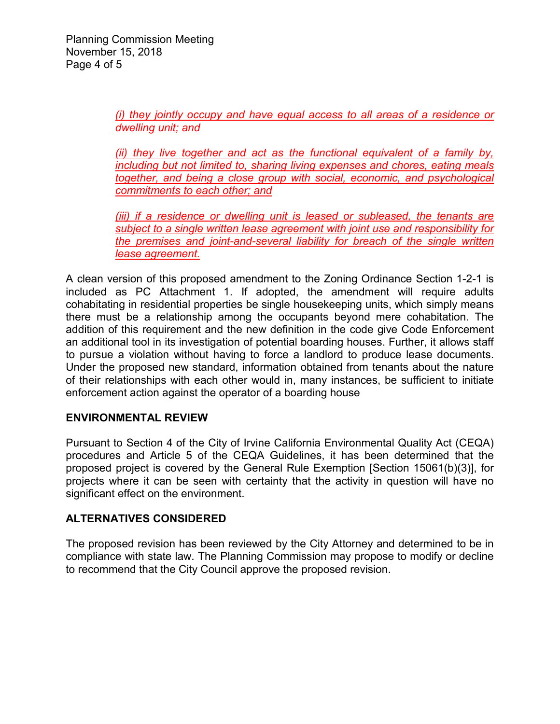*(i) they jointly occupy and have equal access to all areas of a residence or dwelling unit; and*

*(ii) they live together and act as the functional equivalent of a family by, including but not limited to, sharing living expenses and chores, eating meals together, and being a close group with social, economic, and psychological commitments to each other; and* 

*(iii) if a residence or dwelling unit is leased or subleased, the tenants are subject to a single written lease agreement with joint use and responsibility for the premises and joint-and-several liability for breach of the single written lease agreement.*

A clean version of this proposed amendment to the Zoning Ordinance Section 1-2-1 is included as PC Attachment 1. If adopted, the amendment will require adults cohabitating in residential properties be single housekeeping units, which simply means there must be a relationship among the occupants beyond mere cohabitation. The addition of this requirement and the new definition in the code give Code Enforcement an additional tool in its investigation of potential boarding houses. Further, it allows staff to pursue a violation without having to force a landlord to produce lease documents. Under the proposed new standard, information obtained from tenants about the nature of their relationships with each other would in, many instances, be sufficient to initiate enforcement action against the operator of a boarding house

## **ENVIRONMENTAL REVIEW**

Pursuant to Section 4 of the City of Irvine California Environmental Quality Act (CEQA) procedures and Article 5 of the CEQA Guidelines, it has been determined that the proposed project is covered by the General Rule Exemption [Section 15061(b)(3)], for projects where it can be seen with certainty that the activity in question will have no significant effect on the environment.

### **ALTERNATIVES CONSIDERED**

The proposed revision has been reviewed by the City Attorney and determined to be in compliance with state law. The Planning Commission may propose to modify or decline to recommend that the City Council approve the proposed revision.